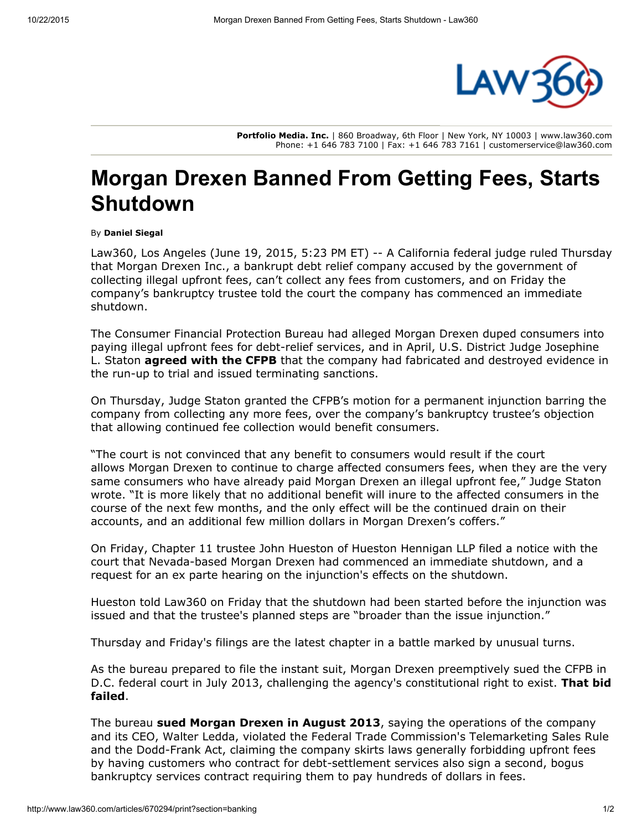

Portfolio Media. Inc. | 860 Broadway, 6th Floor | New York, NY 10003 | www.law360.com Phone: +1 646 783 7100 | Fax: +1 646 783 7161 | customerservice@law360.com

## Morgan Drexen Banned From Getting Fees, Starts Shutdown

## By Daniel Siegal

Law360, Los Angeles (June 19, 2015, 5:23 PM ET) -- A California federal judge ruled Thursday that Morgan Drexen Inc., a bankrupt debt relief company accused by the government of collecting illegal upfront fees, can't collect any fees from customers, and on Friday the company's bankruptcy trustee told the court the company has commenced an immediate shutdown.

The Consumer Financial [Protection](http://www.law360.com/agency/consumer-financial-protection-bureau) Bureau had alleged Morgan Drexen duped consumers into paying illegal upfront fees for debt-relief services, and in April, U.S. District Judge Josephine L. Staton **[agreed](http://www.law360.com/articles/620480) with the CFPB** that the company had fabricated and destroyed evidence in the run-up to trial and issued terminating sanctions.

On Thursday, Judge Staton granted the CFPB's motion for a permanent injunction barring the company from collecting any more fees, over the company's bankruptcy trustee's objection that allowing continued fee collection would benefit consumers.

"The court is not convinced that any benefit to consumers would result if the court allows Morgan Drexen to continue to charge affected consumers fees, when they are the very same consumers who have already paid Morgan Drexen an illegal upfront fee," Judge Staton wrote. "It is more likely that no additional benefit will inure to the affected consumers in the course of the next few months, and the only effect will be the continued drain on their accounts, and an additional few million dollars in Morgan Drexen's coffers."

On Friday, Chapter 11 trustee John Hueston of Hueston [Hennigan](http://www.law360.com/firm/hueston-hennigan) LLP filed a notice with the court that Nevada-based Morgan Drexen had commenced an immediate shutdown, and a request for an ex parte hearing on the injunction's effects on the shutdown.

Hueston told Law360 on Friday that the shutdown had been started before the injunction was issued and that the trustee's planned steps are "broader than the issue injunction."

Thursday and Friday's filings are the latest chapter in a battle marked by unusual turns.

As the bureau prepared to file the instant suit, Morgan Drexen preemptively sued the CFPB in D.C. federal court in July 2013, challenging the agency's [constitutional](http://www.law360.com/articles/481266/cfpb-dodges-suit-challenging-its-right-to-exist) right to exist. **That bid** failed.

The bureau sued [Morgan](http://www.law360.com/articles/466441/cfpb-says-morgan-drexen-dupes-consumers-into-illegal-fees) Drexen in August 2013, saying the operations of the company and its CEO, Walter Ledda, violated the Federal Trade [Commission](http://www.law360.com/agency/federal-trade-commission)'s Telemarketing Sales Rule and the Dodd-Frank Act, claiming the company skirts laws generally forbidding upfront fees by having customers who contract for debt-settlement services also sign a second, bogus bankruptcy services contract requiring them to pay hundreds of dollars in fees.